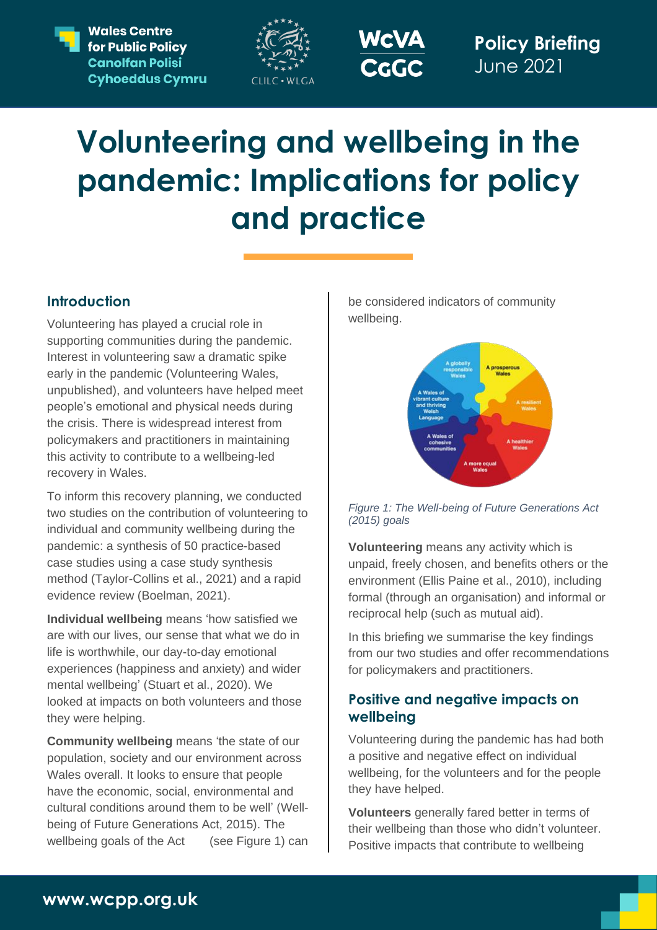**Wales Centre** for Public Policy **Canolfan Polisi Cyhoeddus Cymru** 





**Policy Briefing** June 2021

# **Volunteering and wellbeing in the pandemic: Implications for policy and practice**

## **Introduction**

Volunteering has played a crucial role in supporting communities during the pandemic. Interest in volunteering saw a dramatic spike early in the pandemic (Volunteering Wales, unpublished), and volunteers have helped meet people's emotional and physical needs during the crisis. There is widespread interest from policymakers and practitioners in maintaining this activity to contribute to a wellbeing-led recovery in Wales.

To inform this recovery planning, we conducted two studies on the contribution of volunteering to individual and community wellbeing during the pandemic: a synthesis of 50 practice-based case studies using a case study synthesis method (Taylor-Collins et al., 2021) and a rapid evidence review (Boelman, 2021).

**Individual wellbeing** means 'how satisfied we are with our lives, our sense that what we do in life is worthwhile, our day-to-day emotional experiences (happiness and anxiety) and wider mental wellbeing' (Stuart et al., 2020). We looked at impacts on both volunteers and those they were helping.

**Community wellbeing** means 'the state of our population, society and our environment across Wales overall. It looks to ensure that people have the economic, social, environmental and cultural conditions around them to be well' (Wellbeing of Future Generations Act, 2015). The wellbeing goals of the Act (see Figure 1) can be considered indicators of community wellbeing.



*Figure 1: The Well-being of Future Generations Act (2015) goals*

**Volunteering** means any activity which is unpaid, freely chosen, and benefits others or the environment (Ellis Paine et al., 2010), including formal (through an organisation) and informal or reciprocal help (such as mutual aid).

In this briefing we summarise the key findings from our two studies and offer recommendations for policymakers and practitioners.

## **Positive and negative impacts on wellbeing**

Volunteering during the pandemic has had both a positive and negative effect on individual wellbeing, for the volunteers and for the people they have helped.

**Volunteers** generally fared better in terms of their wellbeing than those who didn't volunteer. Positive impacts that contribute to wellbeing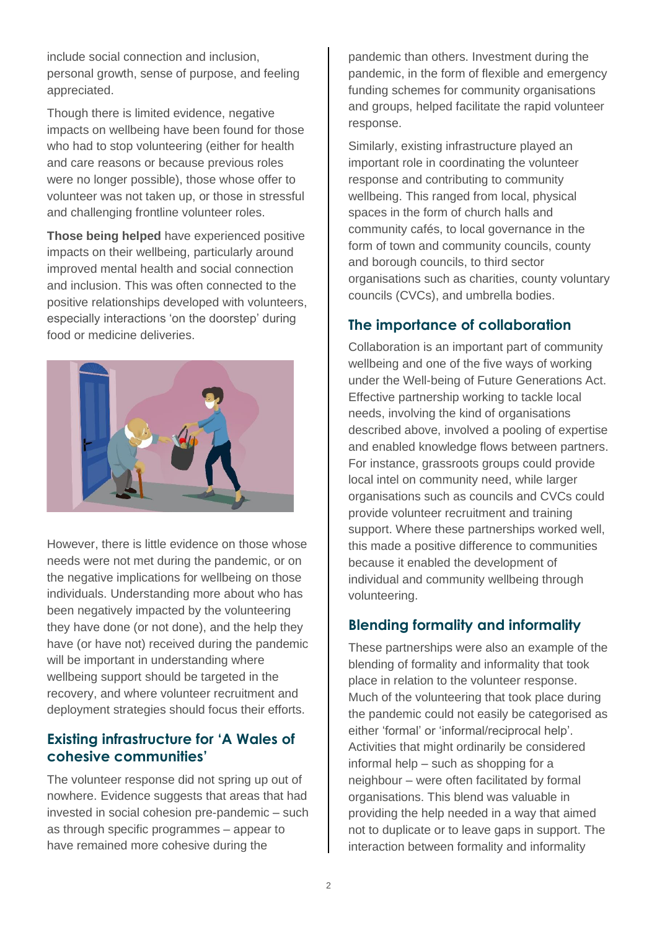include social connection and inclusion, personal growth, sense of purpose, and feeling appreciated.

Though there is limited evidence, negative impacts on wellbeing have been found for those who had to stop volunteering (either for health and care reasons or because previous roles were no longer possible), those whose offer to volunteer was not taken up, or those in stressful and challenging frontline volunteer roles.

**Those being helped** have experienced positive impacts on their wellbeing, particularly around improved mental health and social connection and inclusion. This was often connected to the positive relationships developed with volunteers, especially interactions 'on the doorstep' during food or medicine deliveries.



However, there is little evidence on those whose needs were not met during the pandemic, or on the negative implications for wellbeing on those individuals. Understanding more about who has been negatively impacted by the volunteering they have done (or not done), and the help they have (or have not) received during the pandemic will be important in understanding where wellbeing support should be targeted in the recovery, and where volunteer recruitment and deployment strategies should focus their efforts.

#### **Existing infrastructure for 'A Wales of cohesive communities'**

The volunteer response did not spring up out of nowhere. Evidence suggests that areas that had invested in social cohesion pre-pandemic – such as through specific programmes – appear to have remained more cohesive during the

pandemic than others. Investment during the pandemic, in the form of flexible and emergency funding schemes for community organisations and groups, helped facilitate the rapid volunteer response.

Similarly, existing infrastructure played an important role in coordinating the volunteer response and contributing to community wellbeing. This ranged from local, physical spaces in the form of church halls and community cafés, to local governance in the form of town and community councils, county and borough councils, to third sector organisations such as charities, county voluntary councils (CVCs), and umbrella bodies.

#### **The importance of collaboration**

Collaboration is an important part of community wellbeing and one of the five ways of working under the Well-being of Future Generations Act. Effective partnership working to tackle local needs, involving the kind of organisations described above, involved a pooling of expertise and enabled knowledge flows between partners. For instance, grassroots groups could provide local intel on community need, while larger organisations such as councils and CVCs could provide volunteer recruitment and training support. Where these partnerships worked well, this made a positive difference to communities because it enabled the development of individual and community wellbeing through volunteering.

#### **Blending formality and informality**

These partnerships were also an example of the blending of formality and informality that took place in relation to the volunteer response. Much of the volunteering that took place during the pandemic could not easily be categorised as either 'formal' or 'informal/reciprocal help'. Activities that might ordinarily be considered informal help – such as shopping for a neighbour – were often facilitated by formal organisations. This blend was valuable in providing the help needed in a way that aimed not to duplicate or to leave gaps in support. The interaction between formality and informality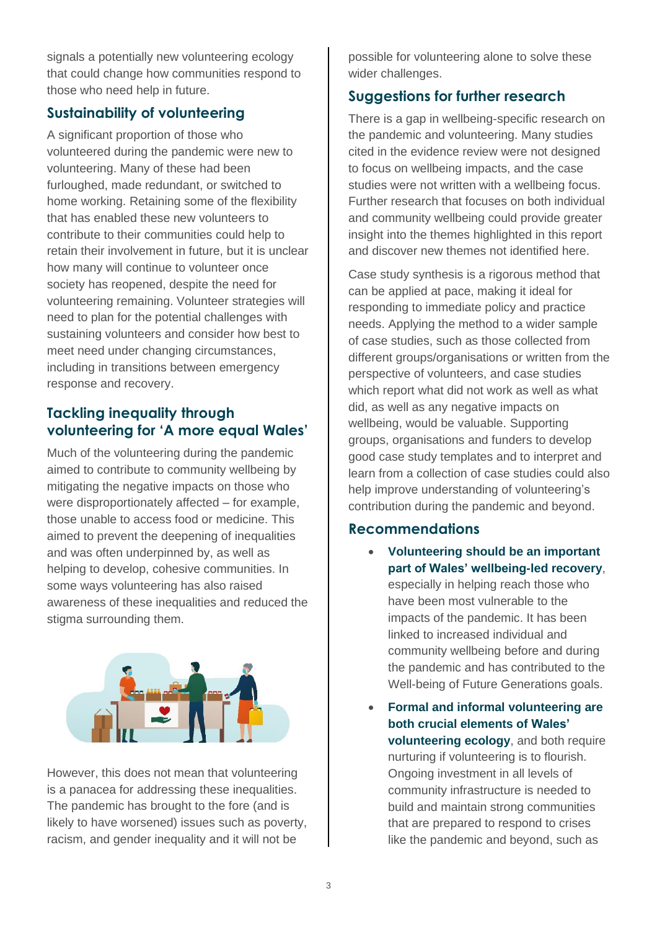signals a potentially new volunteering ecology that could change how communities respond to those who need help in future.

### **Sustainability of volunteering**

A significant proportion of those who volunteered during the pandemic were new to volunteering. Many of these had been furloughed, made redundant, or switched to home working. Retaining some of the flexibility that has enabled these new volunteers to contribute to their communities could help to retain their involvement in future, but it is unclear how many will continue to volunteer once society has reopened, despite the need for volunteering remaining. Volunteer strategies will need to plan for the potential challenges with sustaining volunteers and consider how best to meet need under changing circumstances, including in transitions between emergency response and recovery.

## **Tackling inequality through volunteering for 'A more equal Wales'**

Much of the volunteering during the pandemic aimed to contribute to community wellbeing by mitigating the negative impacts on those who were disproportionately affected – for example, those unable to access food or medicine. This aimed to prevent the deepening of inequalities and was often underpinned by, as well as helping to develop, cohesive communities. In some ways volunteering has also raised awareness of these inequalities and reduced the stigma surrounding them.



However, this does not mean that volunteering is a panacea for addressing these inequalities. The pandemic has brought to the fore (and is likely to have worsened) issues such as poverty, racism, and gender inequality and it will not be

possible for volunteering alone to solve these wider challenges.

#### **Suggestions for further research**

There is a gap in wellbeing-specific research on the pandemic and volunteering. Many studies cited in the evidence review were not designed to focus on wellbeing impacts, and the case studies were not written with a wellbeing focus. Further research that focuses on both individual and community wellbeing could provide greater insight into the themes highlighted in this report and discover new themes not identified here.

Case study synthesis is a rigorous method that can be applied at pace, making it ideal for responding to immediate policy and practice needs. Applying the method to a wider sample of case studies, such as those collected from different groups/organisations or written from the perspective of volunteers, and case studies which report what did not work as well as what did, as well as any negative impacts on wellbeing, would be valuable. Supporting groups, organisations and funders to develop good case study templates and to interpret and learn from a collection of case studies could also help improve understanding of volunteering's contribution during the pandemic and beyond.

#### **Recommendations**

- **Volunteering should be an important part of Wales' wellbeing-led recovery**, especially in helping reach those who have been most vulnerable to the impacts of the pandemic. It has been linked to increased individual and community wellbeing before and during the pandemic and has contributed to the Well-being of Future Generations goals.
- **Formal and informal volunteering are both crucial elements of Wales' volunteering ecology**, and both require nurturing if volunteering is to flourish. Ongoing investment in all levels of community infrastructure is needed to build and maintain strong communities that are prepared to respond to crises like the pandemic and beyond, such as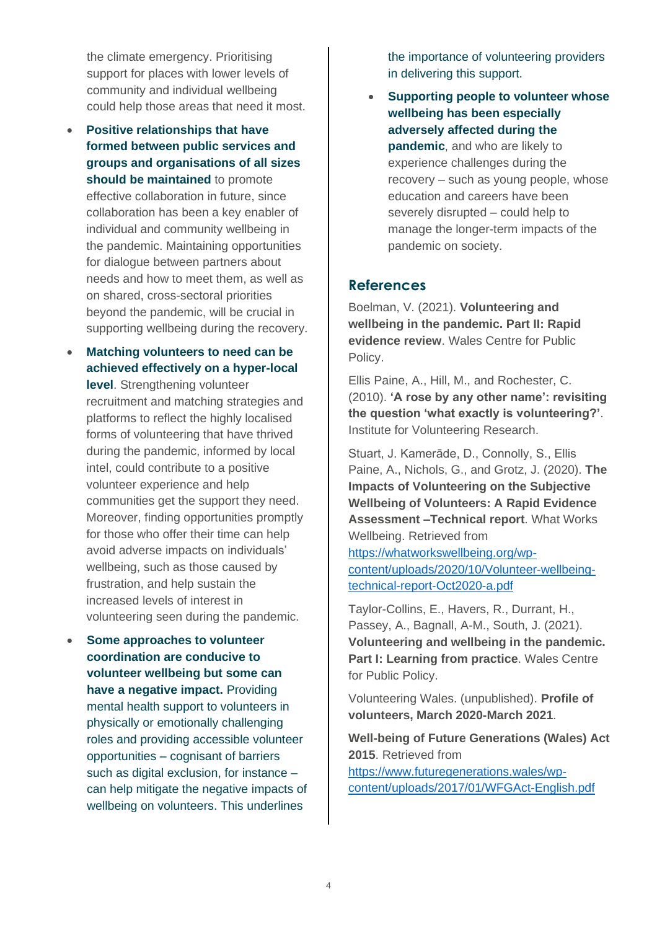the climate emergency. Prioritising support for places with lower levels of community and individual wellbeing could help those areas that need it most.

- **Positive relationships that have formed between public services and groups and organisations of all sizes should be maintained** to promote effective collaboration in future, since collaboration has been a key enabler of individual and community wellbeing in the pandemic. Maintaining opportunities for dialogue between partners about needs and how to meet them, as well as on shared, cross-sectoral priorities beyond the pandemic, will be crucial in supporting wellbeing during the recovery.
- **Matching volunteers to need can be achieved effectively on a hyper-local level**. Strengthening volunteer recruitment and matching strategies and platforms to reflect the highly localised forms of volunteering that have thrived during the pandemic, informed by local intel, could contribute to a positive volunteer experience and help communities get the support they need. Moreover, finding opportunities promptly for those who offer their time can help avoid adverse impacts on individuals' wellbeing, such as those caused by frustration, and help sustain the increased levels of interest in volunteering seen during the pandemic.
- **Some approaches to volunteer coordination are conducive to volunteer wellbeing but some can have a negative impact.** Providing mental health support to volunteers in physically or emotionally challenging roles and providing accessible volunteer opportunities – cognisant of barriers such as digital exclusion, for instance – can help mitigate the negative impacts of wellbeing on volunteers. This underlines

the importance of volunteering providers in delivering this support.

• **Supporting people to volunteer whose wellbeing has been especially adversely affected during the pandemic**, and who are likely to experience challenges during the recovery – such as young people, whose education and careers have been severely disrupted – could help to manage the longer-term impacts of the pandemic on society.

#### **References**

Boelman, V. (2021). **Volunteering and wellbeing in the pandemic. Part II: Rapid evidence review**. Wales Centre for Public Policy.

Ellis Paine, A., Hill, M., and Rochester, C. (2010). **'A rose by any other name': revisiting the question 'what exactly is volunteering?'**. Institute for Volunteering Research.

Stuart, J. Kamerāde, D., Connolly, S., Ellis Paine, A., Nichols, G., and Grotz, J. (2020). **The Impacts of Volunteering on the Subjective Wellbeing of Volunteers: A Rapid Evidence Assessment –Technical report**. What Works Wellbeing. Retrieved from

[https://whatworkswellbeing.org/wp](https://whatworkswellbeing.org/wp-content/uploads/2020/10/Volunteer-wellbeing-technical-report-Oct2020-a.pdf)[content/uploads/2020/10/Volunteer-wellbeing](https://whatworkswellbeing.org/wp-content/uploads/2020/10/Volunteer-wellbeing-technical-report-Oct2020-a.pdf)[technical-report-Oct2020-a.pdf](https://whatworkswellbeing.org/wp-content/uploads/2020/10/Volunteer-wellbeing-technical-report-Oct2020-a.pdf)

Taylor-Collins, E., Havers, R., Durrant, H., Passey, A., Bagnall, A-M., South, J. (2021). **Volunteering and wellbeing in the pandemic. Part I: Learning from practice**. Wales Centre for Public Policy.

Volunteering Wales. (unpublished). **Profile of volunteers, March 2020-March 2021**.

**Well-being of Future Generations (Wales) Act 2015**. Retrieved from [https://www.futuregenerations.wales/wp-](https://www.futuregenerations.wales/wp-content/uploads/2017/01/WFGAct-English.pdf)

[content/uploads/2017/01/WFGAct-English.pdf](https://www.futuregenerations.wales/wp-content/uploads/2017/01/WFGAct-English.pdf)